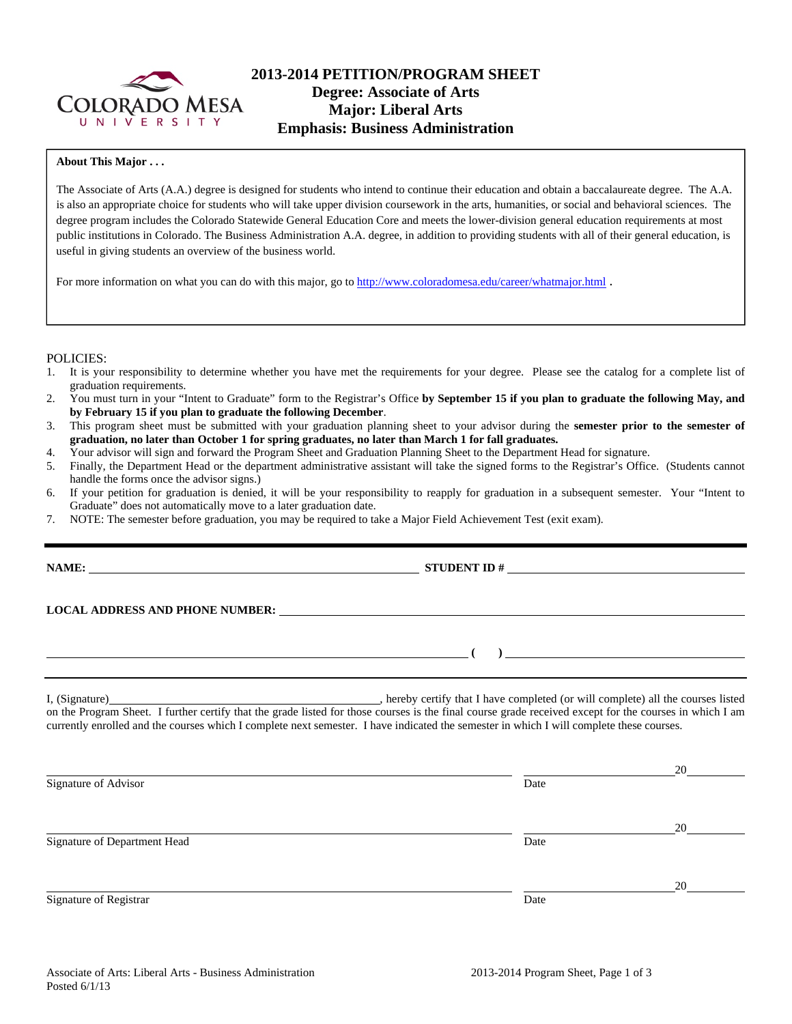

## **2013-2014 PETITION/PROGRAM SHEET Degree: Associate of Arts Major: Liberal Arts Emphasis: Business Administration**

### **About This Major . . .**

The Associate of Arts (A.A.) degree is designed for students who intend to continue their education and obtain a baccalaureate degree. The A.A. is also an appropriate choice for students who will take upper division coursework in the arts, humanities, or social and behavioral sciences. The degree program includes the Colorado Statewide General Education Core and meets the lower-division general education requirements at most public institutions in Colorado. The Business Administration A.A. degree, in addition to providing students with all of their general education, is useful in giving students an overview of the business world.

For more information on what you can do with this major, go to http://www.coloradomesa.edu/career/whatmajor.html .

#### POLICIES:

- 1. It is your responsibility to determine whether you have met the requirements for your degree. Please see the catalog for a complete list of graduation requirements.
- 2. You must turn in your "Intent to Graduate" form to the Registrar's Office **by September 15 if you plan to graduate the following May, and by February 15 if you plan to graduate the following December**.
- 3. This program sheet must be submitted with your graduation planning sheet to your advisor during the **semester prior to the semester of graduation, no later than October 1 for spring graduates, no later than March 1 for fall graduates.**
- 4. Your advisor will sign and forward the Program Sheet and Graduation Planning Sheet to the Department Head for signature.
- 5. Finally, the Department Head or the department administrative assistant will take the signed forms to the Registrar's Office. (Students cannot handle the forms once the advisor signs.)
- 6. If your petition for graduation is denied, it will be your responsibility to reapply for graduation in a subsequent semester. Your "Intent to Graduate" does not automatically move to a later graduation date.
- 7. NOTE: The semester before graduation, you may be required to take a Major Field Achievement Test (exit exam).

| <u> Andreas Andreas Andreas Andreas Andreas Andreas Andreas Andreas Andreas Andreas Andreas Andreas Andreas Andr</u>                                                                                                                                                                                |      | $\left(\begin{array}{c} 0 \end{array}\right)$ |  |  |  |
|-----------------------------------------------------------------------------------------------------------------------------------------------------------------------------------------------------------------------------------------------------------------------------------------------------|------|-----------------------------------------------|--|--|--|
| on the Program Sheet. I further certify that the grade listed for those courses is the final course grade received except for the courses in which I am<br>currently enrolled and the courses which I complete next semester. I have indicated the semester in which I will complete these courses. |      |                                               |  |  |  |
|                                                                                                                                                                                                                                                                                                     |      | $20 \sim$                                     |  |  |  |
| Signature of Advisor                                                                                                                                                                                                                                                                                | Date |                                               |  |  |  |

Signature of Department Head Date

20

20

Signature of Registrar Date Date and Security and Security and Security and Security and Security and Security and Security and Security and Security and Security and Security and Security and Security and Security and Sec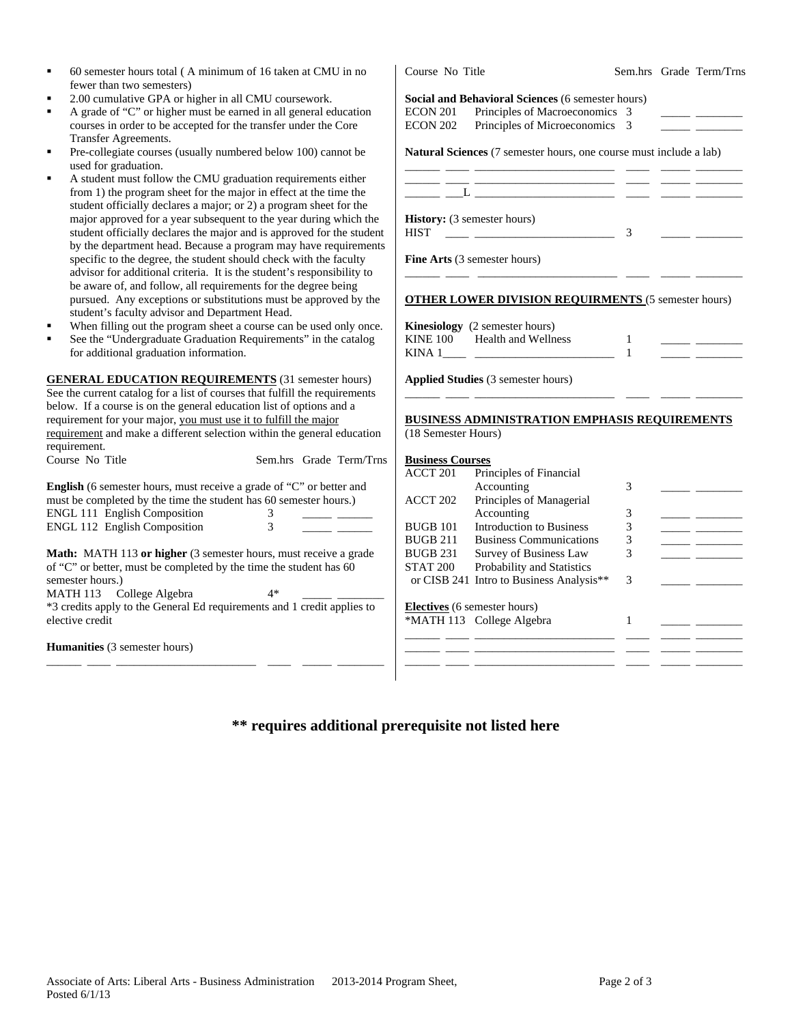| fewer than two semesters)                                                   |                                                                                                                      |  |  |  |
|-----------------------------------------------------------------------------|----------------------------------------------------------------------------------------------------------------------|--|--|--|
| 2.00 cumulative GPA or higher in all CMU coursework.<br>٠                   | Social and Behavioral Sciences (6 semester hours)                                                                    |  |  |  |
| A grade of "C" or higher must be earned in all general education<br>٠       | Principles of Macroeconomics 3<br><b>ECON 201</b>                                                                    |  |  |  |
| courses in order to be accepted for the transfer under the Core             | Principles of Microeconomics 3<br><b>ECON 202</b>                                                                    |  |  |  |
| Transfer Agreements.                                                        |                                                                                                                      |  |  |  |
| Pre-collegiate courses (usually numbered below 100) cannot be<br>٠          | Natural Sciences (7 semester hours, one course must include a lab)                                                   |  |  |  |
| used for graduation.                                                        |                                                                                                                      |  |  |  |
| ٠<br>A student must follow the CMU graduation requirements either           | <u> 1989 - Johann Stein, markin film fan it ferstjer fan de ferstjer fan it ferstjer fan it ferstjer fan it fers</u> |  |  |  |
| from 1) the program sheet for the major in effect at the time the           | $\mathbf{L}$ and $\mathbf{L}$ and $\mathbf{L}$ and $\mathbf{L}$ and $\mathbf{L}$                                     |  |  |  |
| student officially declares a major; or 2) a program sheet for the          |                                                                                                                      |  |  |  |
| major approved for a year subsequent to the year during which the           | History: (3 semester hours)                                                                                          |  |  |  |
| student officially declares the major and is approved for the student       | <b>HIST</b><br>3                                                                                                     |  |  |  |
| by the department head. Because a program may have requirements             |                                                                                                                      |  |  |  |
| specific to the degree, the student should check with the faculty           | Fine Arts (3 semester hours)                                                                                         |  |  |  |
| advisor for additional criteria. It is the student's responsibility to      |                                                                                                                      |  |  |  |
| be aware of, and follow, all requirements for the degree being              |                                                                                                                      |  |  |  |
| pursued. Any exceptions or substitutions must be approved by the            | <b>OTHER LOWER DIVISION REQUIRMENTS</b> (5 semester hours)                                                           |  |  |  |
| student's faculty advisor and Department Head.                              |                                                                                                                      |  |  |  |
| When filling out the program sheet a course can be used only once.<br>٠     | Kinesiology (2 semester hours)                                                                                       |  |  |  |
| See the "Undergraduate Graduation Requirements" in the catalog              | <b>KINE 100</b><br>Health and Wellness<br>$\mathbf{1}$                                                               |  |  |  |
| for additional graduation information.                                      | $\mathbf{1}$                                                                                                         |  |  |  |
|                                                                             |                                                                                                                      |  |  |  |
| <b>GENERAL EDUCATION REQUIREMENTS</b> (31 semester hours)                   | Applied Studies (3 semester hours)                                                                                   |  |  |  |
| See the current catalog for a list of courses that fulfill the requirements |                                                                                                                      |  |  |  |
| below. If a course is on the general education list of options and a        |                                                                                                                      |  |  |  |
| requirement for your major, you must use it to fulfill the major            | BUSINESS ADMINISTRATION EMPHASIS REQUIREMENTS                                                                        |  |  |  |
| requirement and make a different selection within the general education     | (18 Semester Hours)                                                                                                  |  |  |  |
| requirement.                                                                |                                                                                                                      |  |  |  |
| Course No Title<br>Sem.hrs Grade Term/Trns                                  | <b>Business Courses</b>                                                                                              |  |  |  |
|                                                                             | ACCT 201<br>Principles of Financial                                                                                  |  |  |  |
| English (6 semester hours, must receive a grade of "C" or better and        | Accounting<br>3                                                                                                      |  |  |  |
| must be completed by the time the student has 60 semester hours.)           | Principles of Managerial<br>ACCT 202                                                                                 |  |  |  |
| <b>ENGL 111 English Composition</b><br>3                                    | Accounting<br>3<br>_____ ______                                                                                      |  |  |  |
| <b>ENGL 112 English Composition</b><br>3                                    | <b>Introduction to Business</b><br><b>BUGB 101</b><br>3                                                              |  |  |  |
|                                                                             | <b>BUGB 211</b><br><b>Business Communications</b><br>3<br><u> 1989 - Johann Barbara, martx</u>                       |  |  |  |
| Math: MATH 113 or higher (3 semester hours, must receive a grade            | <b>BUGB 231</b><br>Survey of Business Law<br>3                                                                       |  |  |  |
| of "C" or better, must be completed by the time the student has 60          | <b>STAT 200</b><br>Probability and Statistics                                                                        |  |  |  |
| semester hours.)                                                            | or CISB 241 Intro to Business Analysis**<br>3                                                                        |  |  |  |
| MATH 113 College Algebra<br>$4*$                                            |                                                                                                                      |  |  |  |
| *3 credits apply to the General Ed requirements and 1 credit applies to     | Electives (6 semester hours)                                                                                         |  |  |  |
| elective credit                                                             | *MATH 113 College Algebra<br>1                                                                                       |  |  |  |
|                                                                             |                                                                                                                      |  |  |  |
| Humanities (3 semester hours)                                               |                                                                                                                      |  |  |  |
|                                                                             |                                                                                                                      |  |  |  |
|                                                                             |                                                                                                                      |  |  |  |

Course No Title Sem.hrs Grade Term/Trns

# **\*\* requires additional prerequisite not listed here**

60 semester hours total ( A minimum of 16 taken at CMU in no